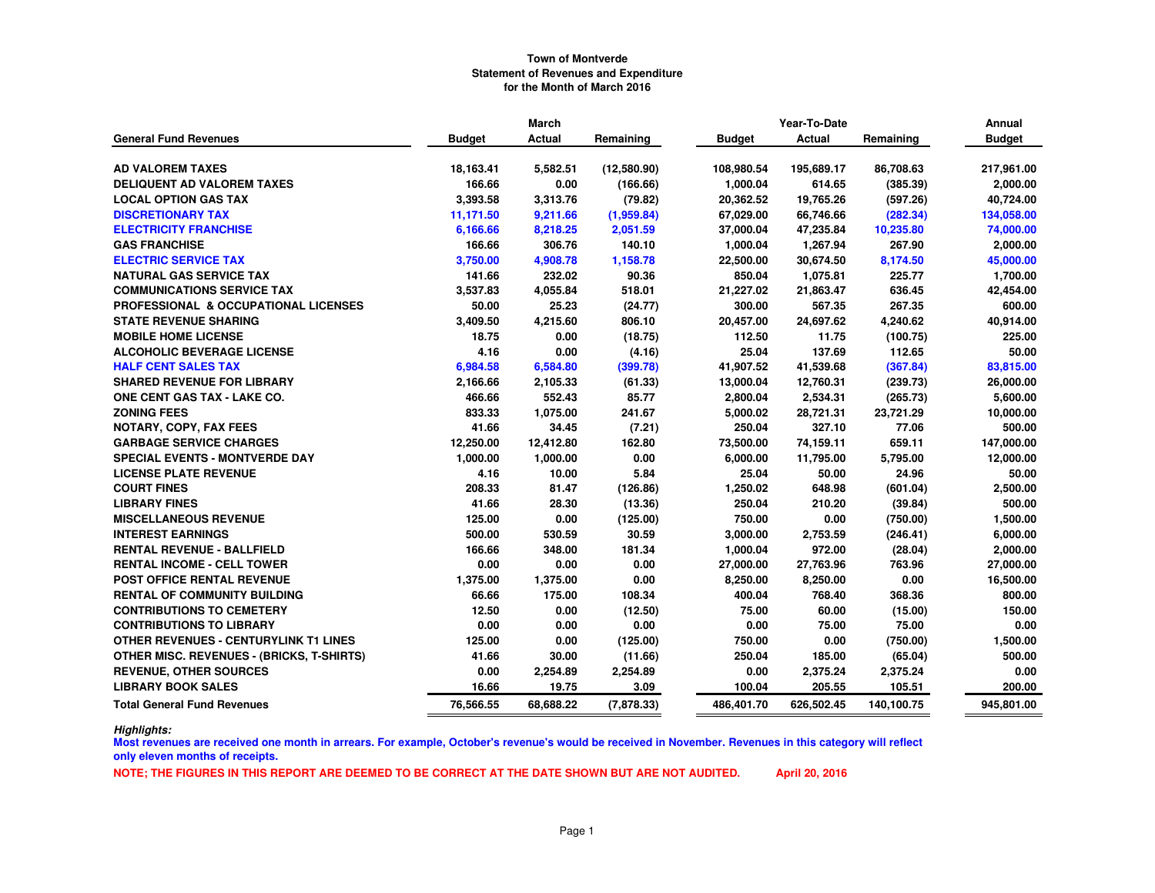|                                                  | March         |           |             |               | Year-To-Date  |            | Annual        |
|--------------------------------------------------|---------------|-----------|-------------|---------------|---------------|------------|---------------|
| <b>General Fund Revenues</b>                     | <b>Budget</b> | Actual    | Remaining   | <b>Budget</b> | <b>Actual</b> | Remaining  | <b>Budget</b> |
|                                                  |               |           |             |               |               |            |               |
| <b>AD VALOREM TAXES</b>                          | 18,163.41     | 5,582.51  | (12,580.90) | 108,980.54    | 195,689.17    | 86,708.63  | 217,961.00    |
| <b>DELIQUENT AD VALOREM TAXES</b>                | 166.66        | 0.00      | (166.66)    | 1,000.04      | 614.65        | (385.39)   | 2,000.00      |
| <b>LOCAL OPTION GAS TAX</b>                      | 3,393.58      | 3,313.76  | (79.82)     | 20,362.52     | 19,765.26     | (597.26)   | 40,724.00     |
| <b>DISCRETIONARY TAX</b>                         | 11,171.50     | 9,211.66  | (1,959.84)  | 67,029.00     | 66,746.66     | (282.34)   | 134,058.00    |
| <b>ELECTRICITY FRANCHISE</b>                     | 6,166.66      | 8,218.25  | 2,051.59    | 37,000.04     | 47,235.84     | 10,235.80  | 74,000.00     |
| <b>GAS FRANCHISE</b>                             | 166.66        | 306.76    | 140.10      | 1,000.04      | 1,267.94      | 267.90     | 2,000.00      |
| <b>ELECTRIC SERVICE TAX</b>                      | 3,750.00      | 4,908.78  | 1,158.78    | 22,500.00     | 30,674.50     | 8,174.50   | 45,000.00     |
| <b>NATURAL GAS SERVICE TAX</b>                   | 141.66        | 232.02    | 90.36       | 850.04        | 1,075.81      | 225.77     | 1,700.00      |
| <b>COMMUNICATIONS SERVICE TAX</b>                | 3,537.83      | 4,055.84  | 518.01      | 21,227.02     | 21,863.47     | 636.45     | 42,454.00     |
| PROFESSIONAL & OCCUPATIONAL LICENSES             | 50.00         | 25.23     | (24.77)     | 300.00        | 567.35        | 267.35     | 600.00        |
| <b>STATE REVENUE SHARING</b>                     | 3,409.50      | 4,215.60  | 806.10      | 20,457.00     | 24,697.62     | 4,240.62   | 40,914.00     |
| <b>MOBILE HOME LICENSE</b>                       | 18.75         | 0.00      | (18.75)     | 112.50        | 11.75         | (100.75)   | 225.00        |
| <b>ALCOHOLIC BEVERAGE LICENSE</b>                | 4.16          | 0.00      | (4.16)      | 25.04         | 137.69        | 112.65     | 50.00         |
| <b>HALF CENT SALES TAX</b>                       | 6,984.58      | 6,584.80  | (399.78)    | 41,907.52     | 41,539.68     | (367.84)   | 83,815.00     |
| <b>SHARED REVENUE FOR LIBRARY</b>                | 2,166.66      | 2,105.33  | (61.33)     | 13,000.04     | 12,760.31     | (239.73)   | 26,000.00     |
| <b>ONE CENT GAS TAX - LAKE CO.</b>               | 466.66        | 552.43    | 85.77       | 2,800.04      | 2,534.31      | (265.73)   | 5,600.00      |
| <b>ZONING FEES</b>                               | 833.33        | 1,075.00  | 241.67      | 5,000.02      | 28,721.31     | 23,721.29  | 10,000.00     |
| <b>NOTARY, COPY, FAX FEES</b>                    | 41.66         | 34.45     | (7.21)      | 250.04        | 327.10        | 77.06      | 500.00        |
| <b>GARBAGE SERVICE CHARGES</b>                   | 12,250.00     | 12,412.80 | 162.80      | 73,500.00     | 74,159.11     | 659.11     | 147,000.00    |
| SPECIAL EVENTS - MONTVERDE DAY                   | 1,000.00      | 1,000.00  | 0.00        | 6,000.00      | 11,795.00     | 5,795.00   | 12,000.00     |
| <b>LICENSE PLATE REVENUE</b>                     | 4.16          | 10.00     | 5.84        | 25.04         | 50.00         | 24.96      | 50.00         |
| <b>COURT FINES</b>                               | 208.33        | 81.47     | (126.86)    | 1,250.02      | 648.98        | (601.04)   | 2,500.00      |
| <b>LIBRARY FINES</b>                             | 41.66         | 28.30     | (13.36)     | 250.04        | 210.20        | (39.84)    | 500.00        |
| <b>MISCELLANEOUS REVENUE</b>                     | 125.00        | 0.00      | (125.00)    | 750.00        | 0.00          | (750.00)   | 1,500.00      |
| <b>INTEREST EARNINGS</b>                         | 500.00        | 530.59    | 30.59       | 3,000.00      | 2,753.59      | (246.41)   | 6,000.00      |
| <b>RENTAL REVENUE - BALLFIELD</b>                | 166.66        | 348.00    | 181.34      | 1,000.04      | 972.00        | (28.04)    | 2,000.00      |
| <b>RENTAL INCOME - CELL TOWER</b>                | 0.00          | 0.00      | 0.00        | 27,000.00     | 27,763.96     | 763.96     | 27,000.00     |
| <b>POST OFFICE RENTAL REVENUE</b>                | 1,375.00      | 1,375.00  | 0.00        | 8,250.00      | 8,250.00      | 0.00       | 16,500.00     |
| <b>RENTAL OF COMMUNITY BUILDING</b>              | 66.66         | 175.00    | 108.34      | 400.04        | 768.40        | 368.36     | 800.00        |
| <b>CONTRIBUTIONS TO CEMETERY</b>                 | 12.50         | 0.00      | (12.50)     | 75.00         | 60.00         | (15.00)    | 150.00        |
| <b>CONTRIBUTIONS TO LIBRARY</b>                  | 0.00          | 0.00      | 0.00        | 0.00          | 75.00         | 75.00      | 0.00          |
| <b>OTHER REVENUES - CENTURYLINK T1 LINES</b>     | 125.00        | 0.00      | (125.00)    | 750.00        | 0.00          | (750.00)   | 1,500.00      |
| <b>OTHER MISC. REVENUES - (BRICKS, T-SHIRTS)</b> | 41.66         | 30.00     | (11.66)     | 250.04        | 185.00        | (65.04)    | 500.00        |
| <b>REVENUE, OTHER SOURCES</b>                    | 0.00          | 2,254.89  | 2,254.89    | 0.00          | 2,375.24      | 2,375.24   | 0.00          |
| <b>LIBRARY BOOK SALES</b>                        | 16.66         | 19.75     | 3.09        | 100.04        | 205.55        | 105.51     | 200.00        |
| <b>Total General Fund Revenues</b>               | 76,566.55     | 68,688.22 | (7,878.33)  | 486,401.70    | 626,502.45    | 140,100.75 | 945,801.00    |

*Highlights:*

 **Most revenues are received one month in arrears. For example, October's revenue's would be received in November. Revenues in this category will reflect only eleven months of receipts.**

**NOTE; THE FIGURES IN THIS REPORT ARE DEEMED TO BE CORRECT AT THE DATE SHOWN BUT ARE NOT AUDITED. April 20, 2016**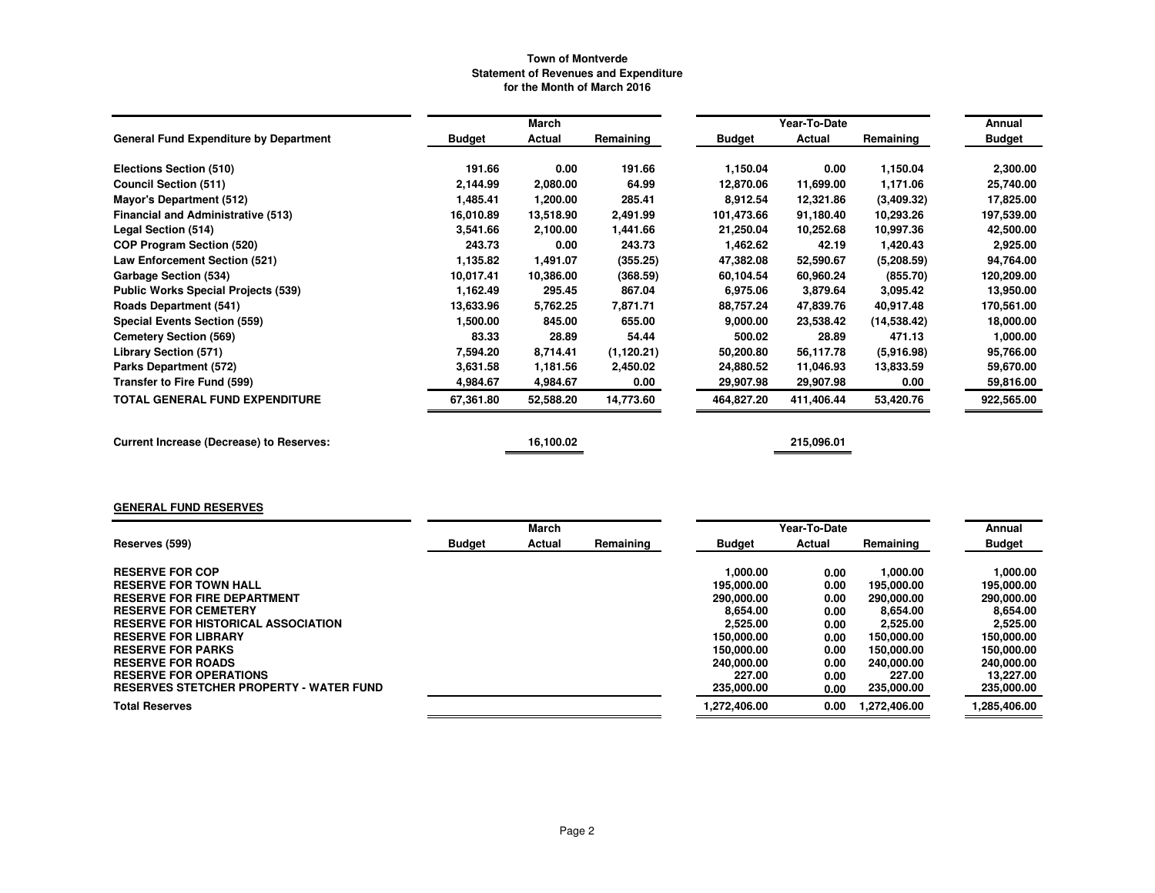|                                                 |               | March     |             |            | Year-To-Date |              | Annual        |
|-------------------------------------------------|---------------|-----------|-------------|------------|--------------|--------------|---------------|
| <b>General Fund Expenditure by Department</b>   | <b>Budget</b> | Actual    | Remaining   | Budget     | Actual       | Remaining    | <b>Budget</b> |
| Elections Section (510)                         | 191.66        | 0.00      | 191.66      | 1,150.04   | 0.00         | 1,150.04     | 2,300.00      |
| <b>Council Section (511)</b>                    | 2,144.99      | 2,080.00  | 64.99       | 12,870.06  | 11,699.00    | 1,171.06     | 25,740.00     |
| <b>Mayor's Department (512)</b>                 | 1,485.41      | 1,200.00  | 285.41      | 8,912.54   | 12,321.86    | (3,409.32)   | 17,825.00     |
| <b>Financial and Administrative (513)</b>       | 16,010.89     | 13,518.90 | 2,491.99    | 101,473.66 | 91,180.40    | 10,293.26    | 197,539.00    |
| Legal Section (514)                             | 3,541.66      | 2,100.00  | 1,441.66    | 21,250.04  | 10,252.68    | 10,997.36    | 42,500.00     |
| <b>COP Program Section (520)</b>                | 243.73        | 0.00      | 243.73      | 1,462.62   | 42.19        | 1,420.43     | 2,925.00      |
| Law Enforcement Section (521)                   | 1,135.82      | 1,491.07  | (355.25)    | 47,382.08  | 52,590.67    | (5.208.59)   | 94,764.00     |
| Garbage Section (534)                           | 10.017.41     | 10,386.00 | (368.59)    | 60,104.54  | 60,960.24    | (855.70)     | 120,209.00    |
| <b>Public Works Special Projects (539)</b>      | 1,162.49      | 295.45    | 867.04      | 6,975.06   | 3,879.64     | 3,095.42     | 13,950.00     |
| <b>Roads Department (541)</b>                   | 13,633.96     | 5,762.25  | 7,871.71    | 88,757.24  | 47,839.76    | 40,917.48    | 170,561.00    |
| <b>Special Events Section (559)</b>             | 1,500.00      | 845.00    | 655.00      | 9,000.00   | 23,538.42    | (14, 538.42) | 18,000.00     |
| <b>Cemetery Section (569)</b>                   | 83.33         | 28.89     | 54.44       | 500.02     | 28.89        | 471.13       | 1,000.00      |
| Library Section (571)                           | 7,594.20      | 8,714.41  | (1, 120.21) | 50,200.80  | 56,117.78    | (5,916.98)   | 95,766.00     |
| Parks Department (572)                          | 3,631.58      | 1,181.56  | 2,450.02    | 24,880.52  | 11,046.93    | 13,833.59    | 59,670.00     |
| Transfer to Fire Fund (599)                     | 4,984.67      | 4,984.67  | 0.00        | 29,907.98  | 29,907.98    | 0.00         | 59,816.00     |
| <b>TOTAL GENERAL FUND EXPENDITURE</b>           | 67,361.80     | 52,588.20 | 14,773.60   | 464,827.20 | 411,406.44   | 53,420.76    | 922,565.00    |
| <b>Current Increase (Decrease) to Reserves:</b> |               | 16,100.02 |             |            | 215,096.01   |              |               |

## **GENERAL FUND RESERVES**

|                                                |               | March  |           |               | Year-To-Date  |              | Annual        |
|------------------------------------------------|---------------|--------|-----------|---------------|---------------|--------------|---------------|
| Reserves (599)                                 | <b>Budget</b> | Actual | Remaining | <b>Budget</b> | <b>Actual</b> | Remaining    | <b>Budget</b> |
|                                                |               |        |           |               |               |              |               |
| <b>RESERVE FOR COP</b>                         |               |        |           | 1.000.00      | 0.00          | 1.000.00     | 1.000.00      |
| <b>RESERVE FOR TOWN HALL</b>                   |               |        |           | 195,000,00    | 0.00          | 195,000.00   | 195,000.00    |
| <b>RESERVE FOR FIRE DEPARTMENT</b>             |               |        |           | 290,000,00    | 0.00          | 290,000.00   | 290,000.00    |
| <b>RESERVE FOR CEMETERY</b>                    |               |        |           | 8.654.00      | 0.00          | 8.654.00     | 8.654.00      |
| <b>RESERVE FOR HISTORICAL ASSOCIATION</b>      |               |        |           | 2.525.00      | 0.00          | 2,525.00     | 2,525.00      |
| <b>RESERVE FOR LIBRARY</b>                     |               |        |           | 150,000,00    | 0.00          | 150,000.00   | 150.000.00    |
| <b>RESERVE FOR PARKS</b>                       |               |        |           | 150,000,00    | 0.00          | 150,000.00   | 150.000.00    |
| <b>RESERVE FOR ROADS</b>                       |               |        |           | 240,000,00    | 0.00          | 240,000,00   | 240.000.00    |
| <b>RESERVE FOR OPERATIONS</b>                  |               |        |           | 227.00        | 0.00          | 227.00       | 13.227.00     |
| <b>RESERVES STETCHER PROPERTY - WATER FUND</b> |               |        |           | 235,000.00    | 0.00          | 235,000.00   | 235,000.00    |
| <b>Total Reserves</b>                          |               |        |           | 1.272.406.00  | 0.00          | 1.272.406.00 | 1,285,406.00  |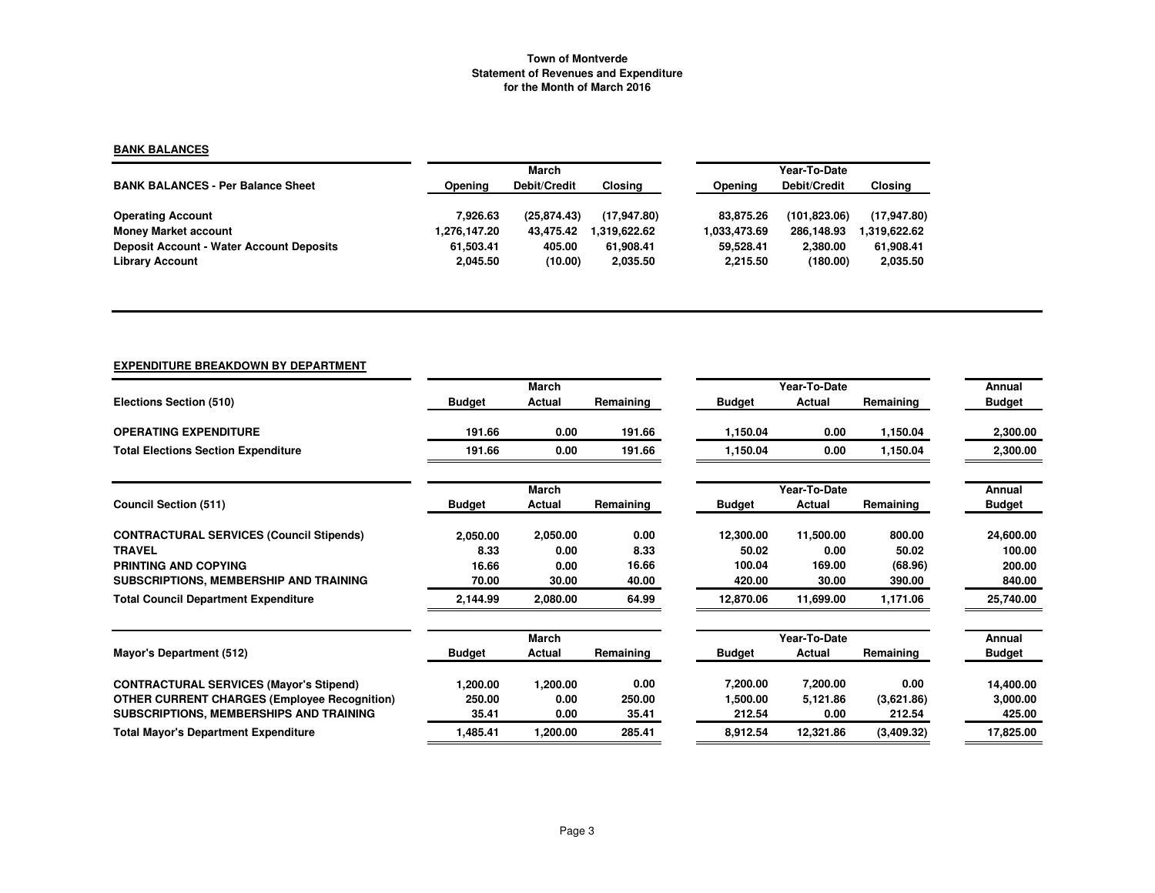## **BANK BALANCES**

|                                                 |              | March        |              | Year-To-Date |               |                |  |
|-------------------------------------------------|--------------|--------------|--------------|--------------|---------------|----------------|--|
| <b>BANK BALANCES - Per Balance Sheet</b>        | Opening      | Debit/Credit | Closing      | Opening      | Debit/Credit  | <b>Closing</b> |  |
| <b>Operating Account</b>                        | 7.926.63     | (25.874.43)  | (17.947.80)  | 83.875.26    | (101, 823.06) | (17,947.80)    |  |
| <b>Money Market account</b>                     | 1,276,147.20 | 43.475.42    | 1.319.622.62 | 1.033.473.69 | 286.148.93    | 1,319,622.62   |  |
| <b>Deposit Account - Water Account Deposits</b> | 61.503.41    | 405.00       | 61.908.41    | 59.528.41    | 2.380.00      | 61,908.41      |  |
| <b>Library Account</b>                          | 2,045.50     | (10.00)      | 2,035.50     | 2.215.50     | (180.00)      | 2,035.50       |  |

# **EXPENDITURE BREAKDOWN BY DEPARTMENT**

|                                                     |               | March        |           |               | Year-To-Date |            | Annual        |
|-----------------------------------------------------|---------------|--------------|-----------|---------------|--------------|------------|---------------|
| Elections Section (510)                             | <b>Budget</b> | Actual       | Remaining | <b>Budget</b> | Actual       | Remaining  | <b>Budget</b> |
| <b>OPERATING EXPENDITURE</b>                        | 191.66        | 0.00         | 191.66    | 1.150.04      | 0.00         | 1,150.04   | 2,300.00      |
| <b>Total Elections Section Expenditure</b>          | 191.66        | 0.00         | 191.66    | 1,150.04      | 0.00         | 1,150.04   | 2,300.00      |
|                                                     |               | <b>March</b> |           |               | Year-To-Date |            | Annual        |
| <b>Council Section (511)</b>                        | <b>Budget</b> | Actual       | Remaining | <b>Budget</b> | Actual       | Remaining  | <b>Budget</b> |
| <b>CONTRACTURAL SERVICES (Council Stipends)</b>     | 2,050.00      | 2,050.00     | 0.00      | 12,300.00     | 11,500.00    | 800.00     | 24,600.00     |
| <b>TRAVEL</b>                                       | 8.33          | 0.00         | 8.33      | 50.02         | 0.00         | 50.02      | 100.00        |
| PRINTING AND COPYING                                | 16.66         | 0.00         | 16.66     | 100.04        | 169.00       | (68.96)    | 200.00        |
| SUBSCRIPTIONS, MEMBERSHIP AND TRAINING              | 70.00         | 30.00        | 40.00     | 420.00        | 30.00        | 390.00     | 840.00        |
| <b>Total Council Department Expenditure</b>         | 2,144.99      | 2,080.00     | 64.99     | 12,870.06     | 11,699.00    | 1,171.06   | 25,740.00     |
|                                                     |               | <b>March</b> |           |               | Year-To-Date |            | Annual        |
| Mayor's Department (512)                            | <b>Budget</b> | Actual       | Remaining | <b>Budget</b> | Actual       | Remaining  | <b>Budget</b> |
| <b>CONTRACTURAL SERVICES (Mayor's Stipend)</b>      | 1,200.00      | 1,200.00     | 0.00      | 7,200.00      | 7,200.00     | 0.00       | 14,400.00     |
| <b>OTHER CURRENT CHARGES (Employee Recognition)</b> | 250.00        | 0.00         | 250.00    | 1,500.00      | 5,121.86     | (3,621.86) | 3,000.00      |
| SUBSCRIPTIONS, MEMBERSHIPS AND TRAINING             | 35.41         | 0.00         | 35.41     | 212.54        | 0.00         | 212.54     | 425.00        |
| <b>Total Mayor's Department Expenditure</b>         | 1,485.41      | 1,200.00     | 285.41    | 8,912.54      | 12,321.86    | (3,409.32) | 17,825.00     |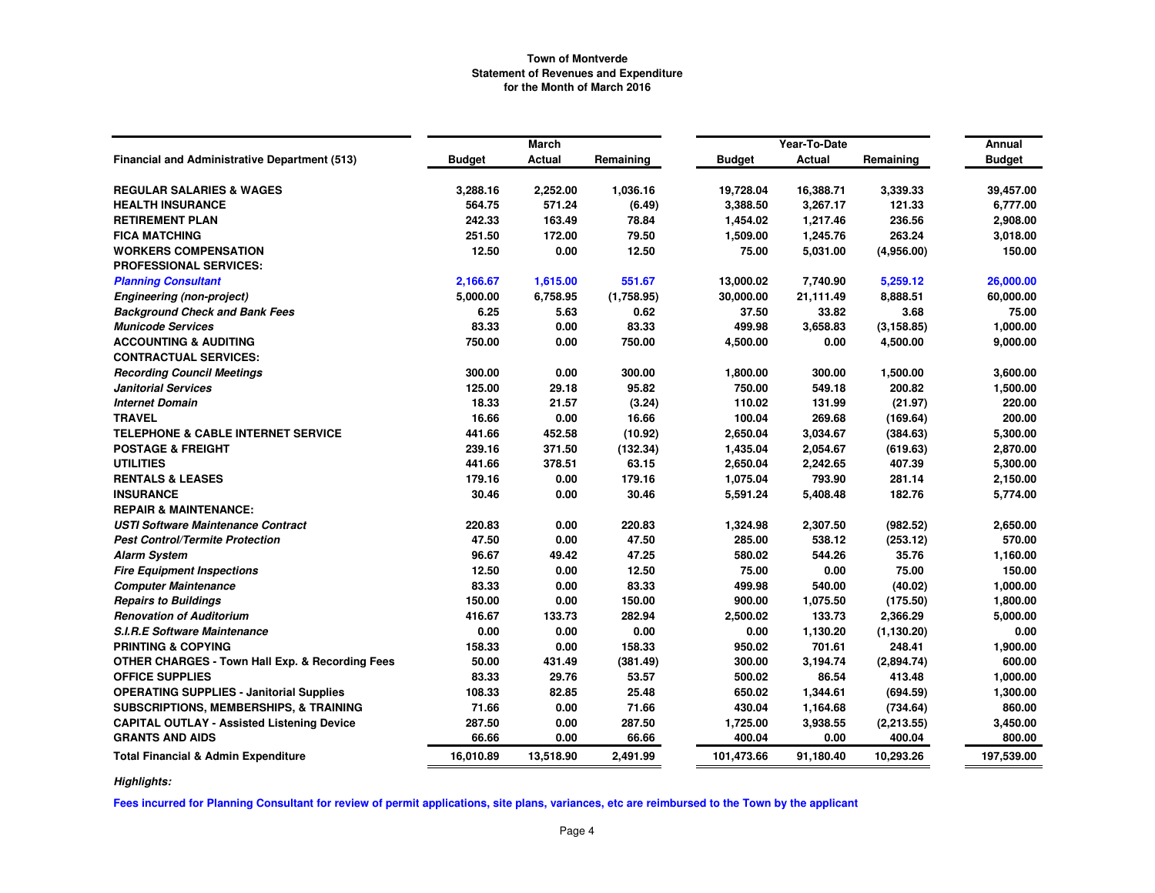|                                                            |               | <b>March</b> |            |               | Year-To-Date |             | Annual        |
|------------------------------------------------------------|---------------|--------------|------------|---------------|--------------|-------------|---------------|
| Financial and Administrative Department (513)              | <b>Budget</b> | Actual       | Remaining  | <b>Budget</b> | Actual       | Remaining   | <b>Budget</b> |
| <b>REGULAR SALARIES &amp; WAGES</b>                        | 3,288.16      | 2,252.00     | 1,036.16   | 19,728.04     | 16,388.71    | 3,339.33    | 39,457.00     |
| <b>HEALTH INSURANCE</b>                                    | 564.75        | 571.24       | (6.49)     | 3,388.50      | 3,267.17     | 121.33      | 6,777.00      |
| <b>RETIREMENT PLAN</b>                                     | 242.33        | 163.49       | 78.84      | 1,454.02      | 1,217.46     | 236.56      | 2,908.00      |
| <b>FICA MATCHING</b>                                       | 251.50        | 172.00       | 79.50      | 1,509.00      | 1,245.76     | 263.24      | 3,018.00      |
| <b>WORKERS COMPENSATION</b>                                | 12.50         | 0.00         | 12.50      | 75.00         | 5,031.00     | (4,956.00)  | 150.00        |
| <b>PROFESSIONAL SERVICES:</b>                              |               |              |            |               |              |             |               |
| <b>Planning Consultant</b>                                 | 2,166.67      | 1,615.00     | 551.67     | 13,000.02     | 7,740.90     | 5,259.12    | 26,000.00     |
| <b>Engineering (non-project)</b>                           | 5,000.00      | 6,758.95     | (1,758.95) | 30,000.00     | 21,111.49    | 8,888.51    | 60,000.00     |
| <b>Background Check and Bank Fees</b>                      | 6.25          | 5.63         | 0.62       | 37.50         | 33.82        | 3.68        | 75.00         |
| <b>Municode Services</b>                                   | 83.33         | 0.00         | 83.33      | 499.98        | 3,658.83     | (3, 158.85) | 1,000.00      |
| <b>ACCOUNTING &amp; AUDITING</b>                           | 750.00        | 0.00         | 750.00     | 4,500.00      | 0.00         | 4,500.00    | 9,000.00      |
| <b>CONTRACTUAL SERVICES:</b>                               |               |              |            |               |              |             |               |
| <b>Recording Council Meetings</b>                          | 300.00        | 0.00         | 300.00     | 1,800.00      | 300.00       | 1,500.00    | 3,600.00      |
| <b>Janitorial Services</b>                                 | 125.00        | 29.18        | 95.82      | 750.00        | 549.18       | 200.82      | 1,500.00      |
| <b>Internet Domain</b>                                     | 18.33         | 21.57        | (3.24)     | 110.02        | 131.99       | (21.97)     | 220.00        |
| <b>TRAVEL</b>                                              | 16.66         | 0.00         | 16.66      | 100.04        | 269.68       | (169.64)    | 200.00        |
| <b>TELEPHONE &amp; CABLE INTERNET SERVICE</b>              | 441.66        | 452.58       | (10.92)    | 2,650.04      | 3,034.67     | (384.63)    | 5,300.00      |
| <b>POSTAGE &amp; FREIGHT</b>                               | 239.16        | 371.50       | (132.34)   | 1,435.04      | 2,054.67     | (619.63)    | 2,870.00      |
| <b>UTILITIES</b>                                           | 441.66        | 378.51       | 63.15      | 2,650.04      | 2,242.65     | 407.39      | 5,300.00      |
| <b>RENTALS &amp; LEASES</b>                                | 179.16        | 0.00         | 179.16     | 1,075.04      | 793.90       | 281.14      | 2,150.00      |
| <b>INSURANCE</b>                                           | 30.46         | 0.00         | 30.46      | 5,591.24      | 5,408.48     | 182.76      | 5,774.00      |
| <b>REPAIR &amp; MAINTENANCE:</b>                           |               |              |            |               |              |             |               |
| <b>USTI Software Maintenance Contract</b>                  | 220.83        | 0.00         | 220.83     | 1,324.98      | 2,307.50     | (982.52)    | 2,650.00      |
| <b>Pest Control/Termite Protection</b>                     | 47.50         | 0.00         | 47.50      | 285.00        | 538.12       | (253.12)    | 570.00        |
| <b>Alarm System</b>                                        | 96.67         | 49.42        | 47.25      | 580.02        | 544.26       | 35.76       | 1,160.00      |
| <b>Fire Equipment Inspections</b>                          | 12.50         | 0.00         | 12.50      | 75.00         | 0.00         | 75.00       | 150.00        |
| <b>Computer Maintenance</b>                                | 83.33         | 0.00         | 83.33      | 499.98        | 540.00       | (40.02)     | 1,000.00      |
| <b>Repairs to Buildings</b>                                | 150.00        | 0.00         | 150.00     | 900.00        | 1,075.50     | (175.50)    | 1,800.00      |
| <b>Renovation of Auditorium</b>                            | 416.67        | 133.73       | 282.94     | 2,500.02      | 133.73       | 2,366.29    | 5,000.00      |
| <b>S.I.R.E Software Maintenance</b>                        | 0.00          | 0.00         | 0.00       | 0.00          | 1,130.20     | (1, 130.20) | 0.00          |
| <b>PRINTING &amp; COPYING</b>                              | 158.33        | 0.00         | 158.33     | 950.02        | 701.61       | 248.41      | 1,900.00      |
| <b>OTHER CHARGES - Town Hall Exp. &amp; Recording Fees</b> | 50.00         | 431.49       | (381.49)   | 300.00        | 3,194.74     | (2,894.74)  | 600.00        |
| <b>OFFICE SUPPLIES</b>                                     | 83.33         | 29.76        | 53.57      | 500.02        | 86.54        | 413.48      | 1,000.00      |
| <b>OPERATING SUPPLIES - Janitorial Supplies</b>            | 108.33        | 82.85        | 25.48      | 650.02        | 1,344.61     | (694.59)    | 1,300.00      |
| SUBSCRIPTIONS, MEMBERSHIPS, & TRAINING                     | 71.66         | 0.00         | 71.66      | 430.04        | 1,164.68     | (734.64)    | 860.00        |
| <b>CAPITAL OUTLAY - Assisted Listening Device</b>          | 287.50        | 0.00         | 287.50     | 1,725.00      | 3,938.55     | (2, 213.55) | 3,450.00      |
| <b>GRANTS AND AIDS</b>                                     | 66.66         | 0.00         | 66.66      | 400.04        | 0.00         | 400.04      | 800.00        |
| <b>Total Financial &amp; Admin Expenditure</b>             | 16,010.89     | 13,518.90    | 2,491.99   | 101,473.66    | 91,180.40    | 10,293.26   | 197,539.00    |

*Highlights:*

**Fees incurred for Planning Consultant for review of permit applications, site plans, variances, etc are reimbursed to the Town by the applicant**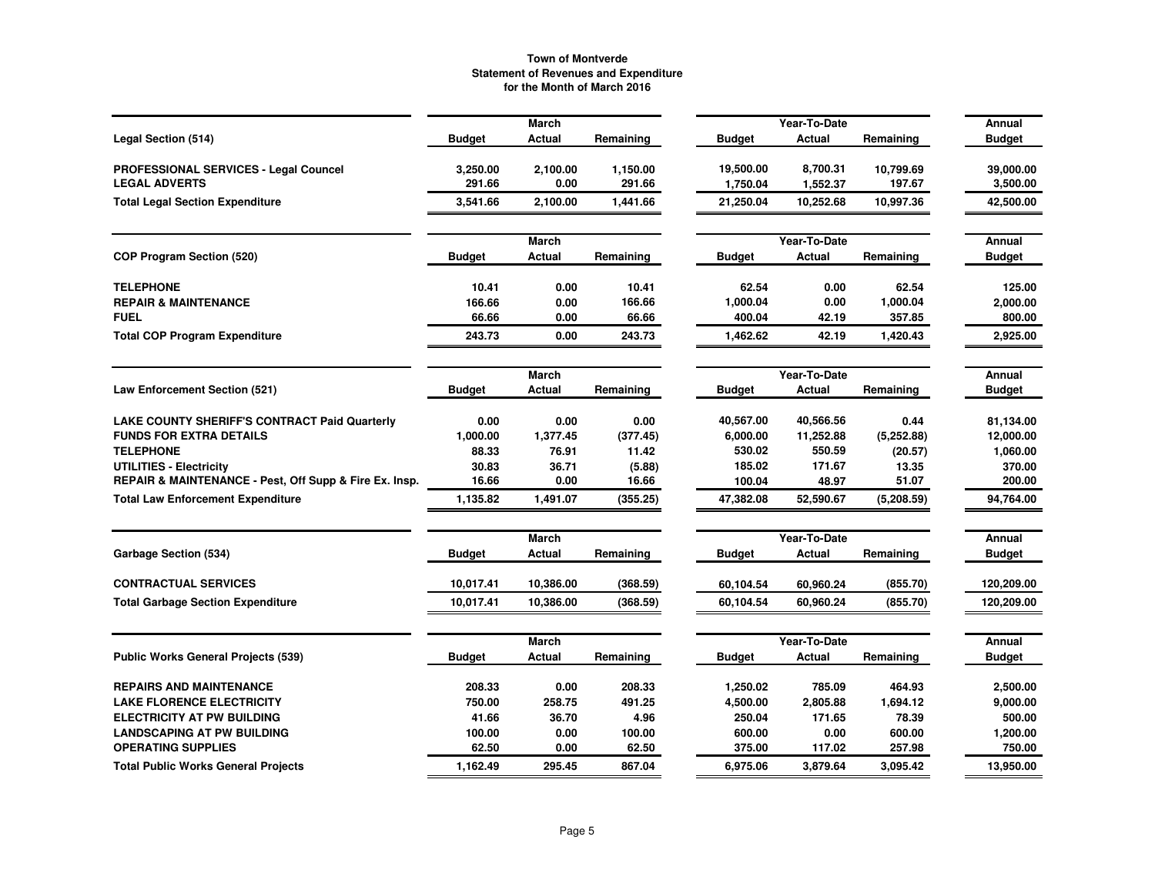|                                                                      |                    | <b>March</b>     |                    |                       | Year-To-Date         |                     | Annual                |
|----------------------------------------------------------------------|--------------------|------------------|--------------------|-----------------------|----------------------|---------------------|-----------------------|
| Legal Section (514)                                                  | <b>Budget</b>      | Actual           | Remaining          | <b>Budget</b>         | Actual               | Remaining           | <b>Budget</b>         |
| <b>PROFESSIONAL SERVICES - Legal Councel</b><br><b>LEGAL ADVERTS</b> | 3,250.00<br>291.66 | 2,100.00<br>0.00 | 1,150.00<br>291.66 | 19,500.00<br>1,750.04 | 8,700.31<br>1,552.37 | 10,799.69<br>197.67 | 39,000.00<br>3,500.00 |
| <b>Total Legal Section Expenditure</b>                               | 3,541.66           | 2,100.00         | 1,441.66           | 21,250.04             | 10,252.68            | 10,997.36           | 42,500.00             |
|                                                                      |                    | <b>March</b>     |                    |                       | Year-To-Date         |                     | <b>Annual</b>         |
| <b>COP Program Section (520)</b>                                     | <b>Budget</b>      | Actual           | Remaining          | <b>Budget</b>         | Actual               | Remaining           | <b>Budget</b>         |
| <b>TELEPHONE</b>                                                     | 10.41              | 0.00             | 10.41              | 62.54                 | 0.00                 | 62.54               | 125.00                |
| <b>REPAIR &amp; MAINTENANCE</b>                                      | 166.66             | 0.00             | 166.66             | 1,000.04              | 0.00                 | 1,000.04            | 2,000.00              |
| <b>FUEL</b>                                                          | 66.66              | 0.00             | 66.66              | 400.04                | 42.19                | 357.85              | 800.00                |
| <b>Total COP Program Expenditure</b>                                 | 243.73             | 0.00             | 243.73             | 1,462.62              | 42.19                | 1,420.43            | 2,925.00              |
|                                                                      |                    | <b>March</b>     |                    |                       | Year-To-Date         |                     | Annual                |
| Law Enforcement Section (521)                                        | <b>Budget</b>      | Actual           | Remaining          | <b>Budget</b>         | Actual               | Remaining           | <b>Budget</b>         |
| <b>LAKE COUNTY SHERIFF'S CONTRACT Paid Quarterly</b>                 | 0.00               | 0.00             | 0.00               | 40,567.00             | 40,566.56            | 0.44                | 81,134.00             |
| <b>FUNDS FOR EXTRA DETAILS</b>                                       | 1,000.00           | 1,377.45         | (377.45)           | 6,000.00              | 11,252.88            | (5,252.88)          | 12,000.00             |
| <b>TELEPHONE</b>                                                     | 88.33              | 76.91            | 11.42              | 530.02                | 550.59               | (20.57)             | 1,060.00              |
| UTILITIES - Electricity                                              | 30.83              | 36.71            | (5.88)             | 185.02                | 171.67               | 13.35               | 370.00                |
| REPAIR & MAINTENANCE - Pest, Off Supp & Fire Ex. Insp.               | 16.66              | 0.00             | 16.66              | 100.04                | 48.97                | 51.07               | 200.00                |
| <b>Total Law Enforcement Expenditure</b>                             | 1,135.82           | 1,491.07         | (355.25)           | 47,382.08             | 52,590.67            | (5,208.59)          | 94,764.00             |
|                                                                      |                    | March            |                    |                       | Year-To-Date         |                     | Annual                |
| Garbage Section (534)                                                | <b>Budget</b>      | Actual           | Remaining          | <b>Budget</b>         | Actual               | Remaining           | <b>Budget</b>         |
| <b>CONTRACTUAL SERVICES</b>                                          | 10.017.41          | 10,386.00        | (368.59)           | 60,104.54             | 60,960.24            | (855.70)            | 120,209.00            |
| <b>Total Garbage Section Expenditure</b>                             | 10,017.41          | 10,386.00        | (368.59)           | 60,104.54             | 60,960.24            | (855.70)            | 120,209.00            |
|                                                                      |                    |                  |                    |                       |                      |                     |                       |
|                                                                      |                    | <b>March</b>     |                    |                       | Year-To-Date         |                     | Annual                |
| <b>Public Works General Projects (539)</b>                           | <b>Budget</b>      | Actual           | Remaining          | <b>Budget</b>         | Actual               | Remaining           | <b>Budget</b>         |
| <b>REPAIRS AND MAINTENANCE</b>                                       | 208.33             | 0.00             | 208.33             | 1,250.02              | 785.09               | 464.93              | 2,500.00              |
| <b>LAKE FLORENCE ELECTRICITY</b>                                     | 750.00             | 258.75           | 491.25             | 4,500.00              | 2,805.88             | 1,694.12            | 9,000.00              |
| <b>ELECTRICITY AT PW BUILDING</b>                                    | 41.66              | 36.70            | 4.96               | 250.04                | 171.65               | 78.39               | 500.00                |
| <b>LANDSCAPING AT PW BUILDING</b>                                    | 100.00             | 0.00             | 100.00             | 600.00                | 0.00                 | 600.00              | 1,200.00              |
| <b>OPERATING SUPPLIES</b>                                            | 62.50              | 0.00             | 62.50              | 375.00                | 117.02               | 257.98              | 750.00                |
| <b>Total Public Works General Projects</b>                           | 1,162.49           | 295.45           | 867.04             | 6.975.06              | 3,879.64             | 3.095.42            | 13,950.00             |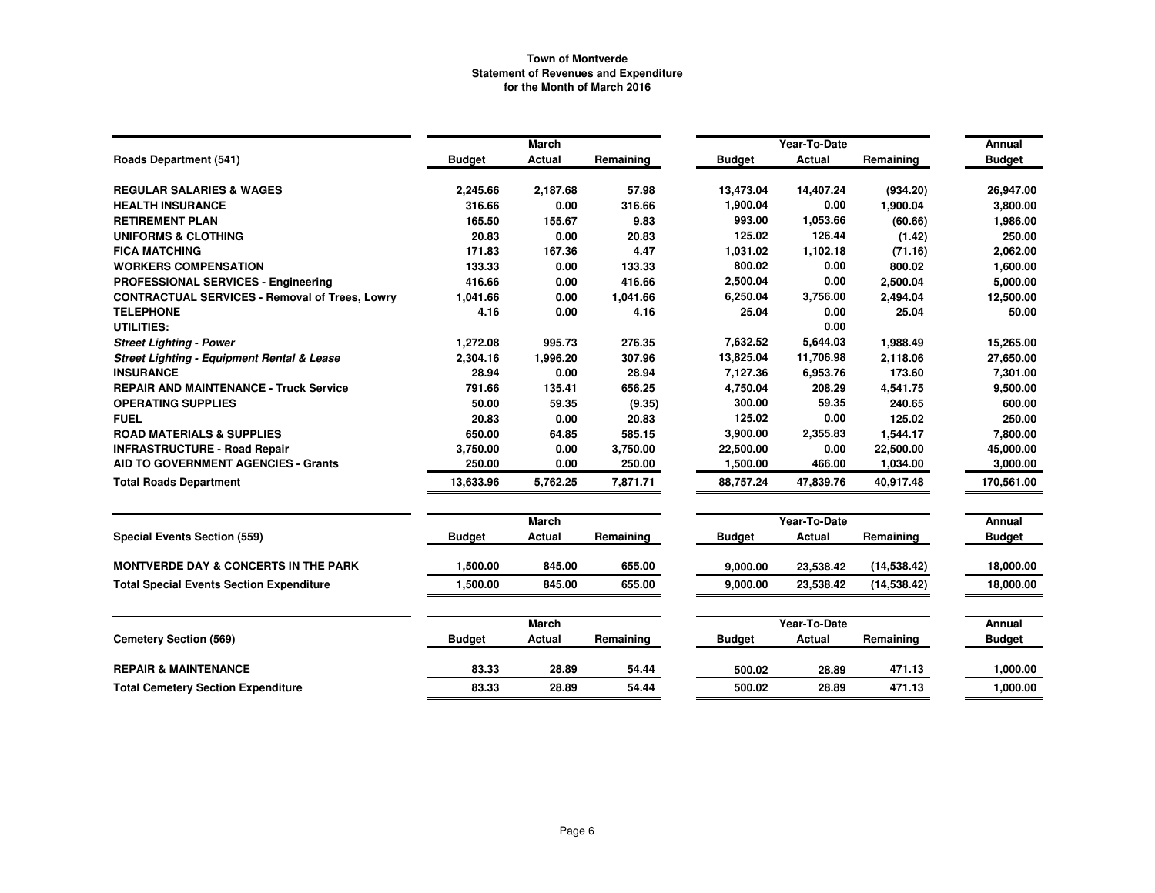|                                                       |               | <b>March</b>  |           |               | Year-To-Date  |              | Annual        |
|-------------------------------------------------------|---------------|---------------|-----------|---------------|---------------|--------------|---------------|
| <b>Roads Department (541)</b>                         | <b>Budget</b> | Actual        | Remaining | <b>Budget</b> | <b>Actual</b> | Remaining    | <b>Budget</b> |
| <b>REGULAR SALARIES &amp; WAGES</b>                   | 2,245.66      | 2,187.68      | 57.98     | 13,473.04     | 14,407.24     | (934.20)     | 26,947.00     |
| <b>HEALTH INSURANCE</b>                               | 316.66        | 0.00          | 316.66    | 1,900.04      | 0.00          | 1,900.04     | 3,800.00      |
| <b>RETIREMENT PLAN</b>                                | 165.50        | 155.67        | 9.83      | 993.00        | 1,053.66      | (60.66)      | 1,986.00      |
| <b>UNIFORMS &amp; CLOTHING</b>                        | 20.83         | 0.00          | 20.83     | 125.02        | 126.44        | (1.42)       | 250.00        |
| <b>FICA MATCHING</b>                                  | 171.83        | 167.36        | 4.47      | 1,031.02      | 1,102.18      | (71.16)      | 2,062.00      |
| <b>WORKERS COMPENSATION</b>                           | 133.33        | 0.00          | 133.33    | 800.02        | 0.00          | 800.02       | 1,600.00      |
| PROFESSIONAL SERVICES - Engineering                   | 416.66        | 0.00          | 416.66    | 2,500.04      | 0.00          | 2,500.04     | 5,000.00      |
| <b>CONTRACTUAL SERVICES - Removal of Trees, Lowry</b> | 1,041.66      | 0.00          | 1,041.66  | 6,250.04      | 3,756.00      | 2,494.04     | 12,500.00     |
| <b>TELEPHONE</b>                                      | 4.16          | 0.00          | 4.16      | 25.04         | 0.00          | 25.04        | 50.00         |
| <b>UTILITIES:</b>                                     |               |               |           |               | 0.00          |              |               |
| <b>Street Lighting - Power</b>                        | 1,272.08      | 995.73        | 276.35    | 7,632.52      | 5,644.03      | 1,988.49     | 15,265.00     |
| <b>Street Lighting - Equipment Rental &amp; Lease</b> | 2,304.16      | 1,996.20      | 307.96    | 13,825.04     | 11,706.98     | 2,118.06     | 27,650.00     |
| <b>INSURANCE</b>                                      | 28.94         | 0.00          | 28.94     | 7,127.36      | 6,953.76      | 173.60       | 7,301.00      |
| <b>REPAIR AND MAINTENANCE - Truck Service</b>         | 791.66        | 135.41        | 656.25    | 4,750.04      | 208.29        | 4,541.75     | 9,500.00      |
| <b>OPERATING SUPPLIES</b>                             | 50.00         | 59.35         | (9.35)    | 300.00        | 59.35         | 240.65       | 600.00        |
| <b>FUEL</b>                                           | 20.83         | 0.00          | 20.83     | 125.02        | 0.00          | 125.02       | 250.00        |
| <b>ROAD MATERIALS &amp; SUPPLIES</b>                  | 650.00        | 64.85         | 585.15    | 3,900.00      | 2,355.83      | 1,544.17     | 7,800.00      |
| <b>INFRASTRUCTURE - Road Repair</b>                   | 3,750.00      | 0.00          | 3,750.00  | 22,500.00     | 0.00          | 22,500.00    | 45,000.00     |
| <b>AID TO GOVERNMENT AGENCIES - Grants</b>            | 250.00        | 0.00          | 250.00    | 1,500.00      | 466.00        | 1,034.00     | 3,000.00      |
| <b>Total Roads Department</b>                         | 13.633.96     | 5,762.25      | 7,871.71  | 88.757.24     | 47,839.76     | 40.917.48    | 170,561.00    |
|                                                       |               | <b>March</b>  |           |               | Year-To-Date  |              | Annual        |
| <b>Special Events Section (559)</b>                   | <b>Budget</b> | <b>Actual</b> | Remaining | <b>Budget</b> | Actual        | Remaining    | <b>Budget</b> |
| <b>MONTVERDE DAY &amp; CONCERTS IN THE PARK</b>       | 1.500.00      | 845.00        | 655.00    | 9,000.00      | 23,538.42     | (14, 538.42) | 18,000.00     |
| <b>Total Special Events Section Expenditure</b>       | 1,500.00      | 845.00        | 655.00    | 9,000.00      | 23,538.42     | (14, 538.42) | 18,000.00     |
|                                                       |               | March         |           |               | Year-To-Date  |              | Annual        |
| <b>Cemetery Section (569)</b>                         | <b>Budget</b> | Actual        | Remaining | <b>Budget</b> | Actual        | Remaining    | <b>Budget</b> |
| <b>REPAIR &amp; MAINTENANCE</b>                       | 83.33         | 28.89         | 54.44     | 500.02        | 28.89         | 471.13       | 1,000.00      |
| <b>Total Cemetery Section Expenditure</b>             | 83.33         | 28.89         | 54.44     | 500.02        | 28.89         | 471.13       | 1,000.00      |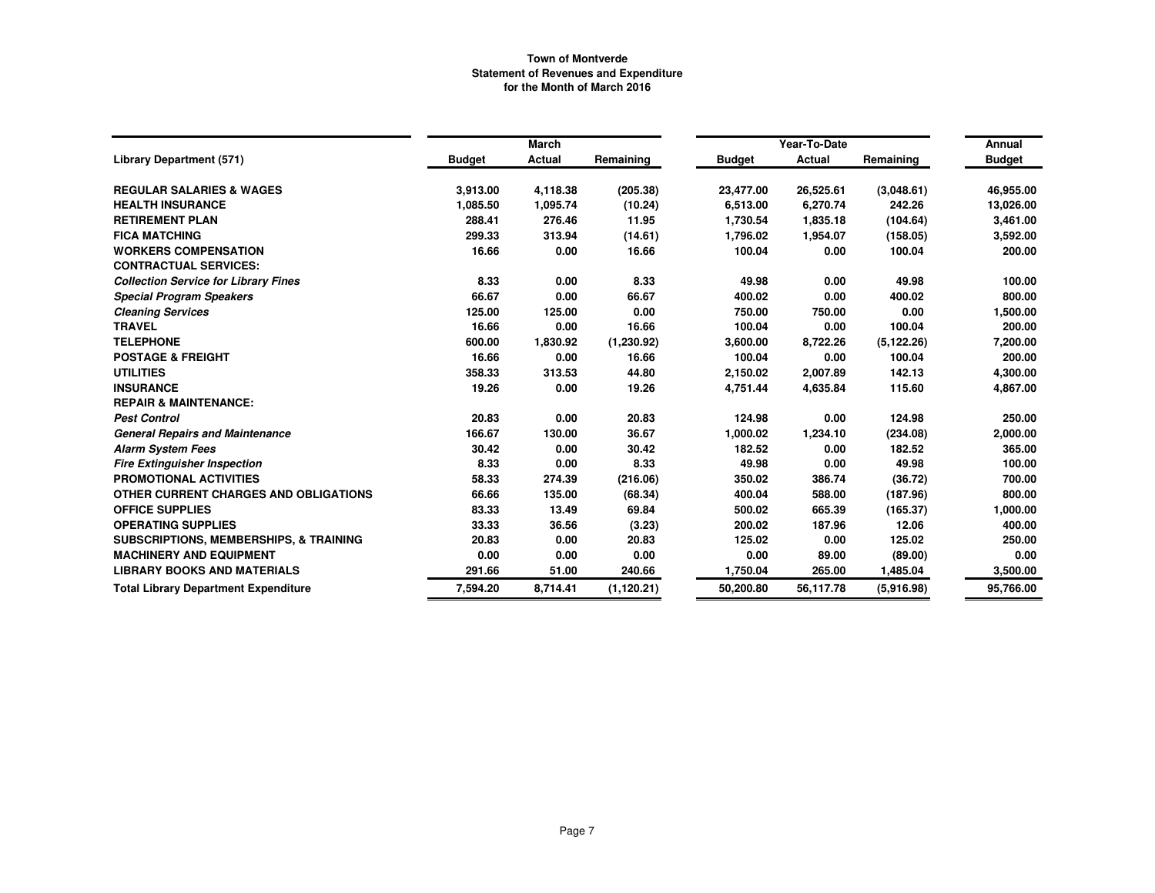|                                                   |               | March         |             |               | Year-To-Date |             | Annual        |
|---------------------------------------------------|---------------|---------------|-------------|---------------|--------------|-------------|---------------|
| <b>Library Department (571)</b>                   | <b>Budget</b> | <b>Actual</b> | Remaining   | <b>Budget</b> | Actual       | Remaining   | <b>Budget</b> |
| <b>REGULAR SALARIES &amp; WAGES</b>               | 3,913.00      | 4,118.38      | (205.38)    | 23,477.00     | 26,525.61    | (3,048.61)  | 46,955.00     |
| <b>HEALTH INSURANCE</b>                           | 1,085.50      | 1,095.74      | (10.24)     | 6,513.00      | 6,270.74     | 242.26      | 13,026.00     |
| <b>RETIREMENT PLAN</b>                            | 288.41        | 276.46        | 11.95       | 1,730.54      | 1,835.18     | (104.64)    | 3,461.00      |
| <b>FICA MATCHING</b>                              | 299.33        | 313.94        | (14.61)     | 1,796.02      | 1,954.07     | (158.05)    | 3,592.00      |
| <b>WORKERS COMPENSATION</b>                       | 16.66         | 0.00          | 16.66       | 100.04        | 0.00         | 100.04      | 200.00        |
| <b>CONTRACTUAL SERVICES:</b>                      |               |               |             |               |              |             |               |
| <b>Collection Service for Library Fines</b>       | 8.33          | 0.00          | 8.33        | 49.98         | 0.00         | 49.98       | 100.00        |
| <b>Special Program Speakers</b>                   | 66.67         | 0.00          | 66.67       | 400.02        | 0.00         | 400.02      | 800.00        |
| <b>Cleaning Services</b>                          | 125.00        | 125.00        | 0.00        | 750.00        | 750.00       | 0.00        | 1,500.00      |
| <b>TRAVEL</b>                                     | 16.66         | 0.00          | 16.66       | 100.04        | 0.00         | 100.04      | 200.00        |
| <b>TELEPHONE</b>                                  | 600.00        | 1,830.92      | (1,230.92)  | 3,600.00      | 8,722.26     | (5, 122.26) | 7,200.00      |
| <b>POSTAGE &amp; FREIGHT</b>                      | 16.66         | 0.00          | 16.66       | 100.04        | 0.00         | 100.04      | 200.00        |
| <b>UTILITIES</b>                                  | 358.33        | 313.53        | 44.80       | 2,150.02      | 2,007.89     | 142.13      | 4,300.00      |
| <b>INSURANCE</b>                                  | 19.26         | 0.00          | 19.26       | 4,751.44      | 4,635.84     | 115.60      | 4,867.00      |
| <b>REPAIR &amp; MAINTENANCE:</b>                  |               |               |             |               |              |             |               |
| <b>Pest Control</b>                               | 20.83         | 0.00          | 20.83       | 124.98        | 0.00         | 124.98      | 250.00        |
| <b>General Repairs and Maintenance</b>            | 166.67        | 130.00        | 36.67       | 1,000.02      | 1,234.10     | (234.08)    | 2,000.00      |
| <b>Alarm System Fees</b>                          | 30.42         | 0.00          | 30.42       | 182.52        | 0.00         | 182.52      | 365.00        |
| <b>Fire Extinguisher Inspection</b>               | 8.33          | 0.00          | 8.33        | 49.98         | 0.00         | 49.98       | 100.00        |
| PROMOTIONAL ACTIVITIES                            | 58.33         | 274.39        | (216.06)    | 350.02        | 386.74       | (36.72)     | 700.00        |
| OTHER CURRENT CHARGES AND OBLIGATIONS             | 66.66         | 135.00        | (68.34)     | 400.04        | 588.00       | (187.96)    | 800.00        |
| <b>OFFICE SUPPLIES</b>                            | 83.33         | 13.49         | 69.84       | 500.02        | 665.39       | (165.37)    | 1,000.00      |
| <b>OPERATING SUPPLIES</b>                         | 33.33         | 36.56         | (3.23)      | 200.02        | 187.96       | 12.06       | 400.00        |
| <b>SUBSCRIPTIONS, MEMBERSHIPS, &amp; TRAINING</b> | 20.83         | 0.00          | 20.83       | 125.02        | 0.00         | 125.02      | 250.00        |
| <b>MACHINERY AND EQUIPMENT</b>                    | 0.00          | 0.00          | 0.00        | 0.00          | 89.00        | (89.00)     | 0.00          |
| <b>LIBRARY BOOKS AND MATERIALS</b>                | 291.66        | 51.00         | 240.66      | 1,750.04      | 265.00       | 1,485.04    | 3,500.00      |
| <b>Total Library Department Expenditure</b>       | 7,594.20      | 8,714.41      | (1, 120.21) | 50,200.80     | 56,117.78    | (5.916.98)  | 95,766.00     |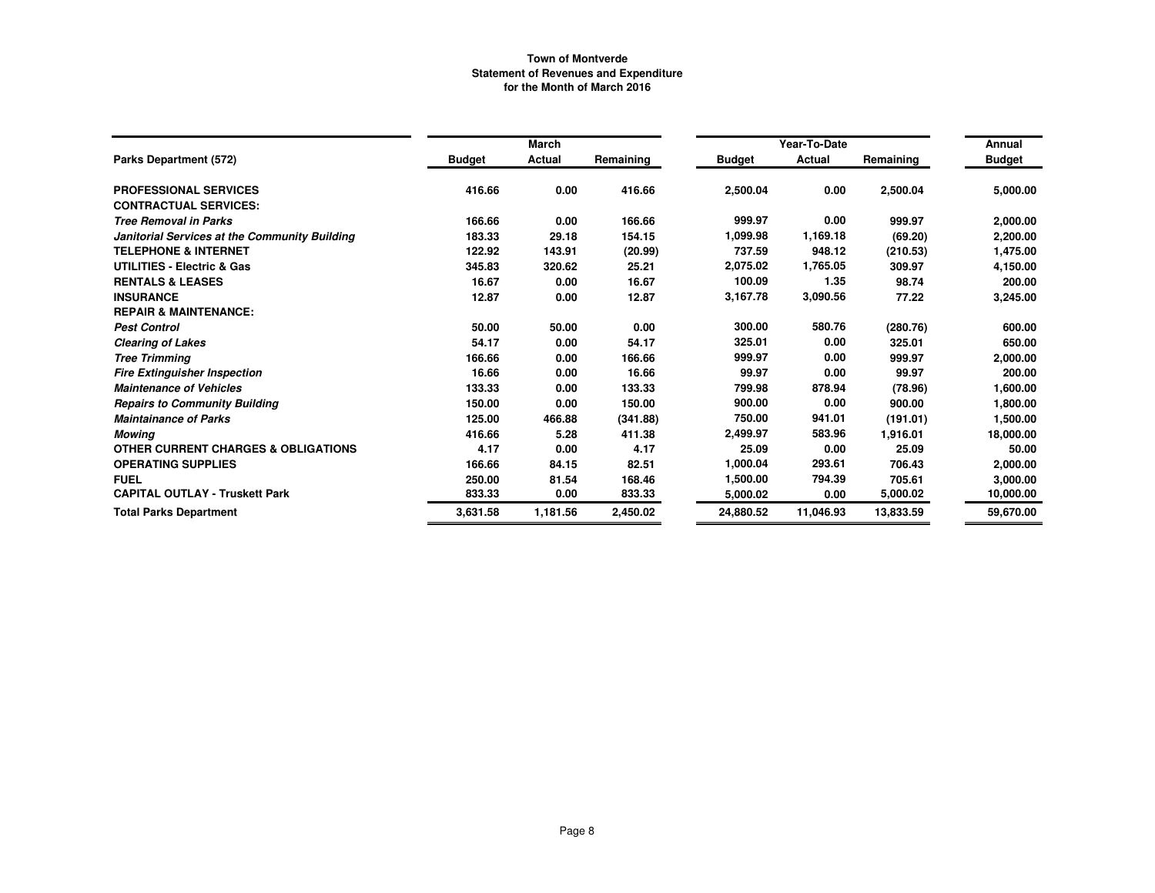|                                                |               | March    |           |               | Year-To-Date |           | Annual        |
|------------------------------------------------|---------------|----------|-----------|---------------|--------------|-----------|---------------|
| Parks Department (572)                         | <b>Budget</b> | Actual   | Remaining | <b>Budget</b> | Actual       | Remaining | <b>Budget</b> |
| <b>PROFESSIONAL SERVICES</b>                   | 416.66        | 0.00     | 416.66    | 2,500.04      | 0.00         | 2,500.04  | 5,000.00      |
| <b>CONTRACTUAL SERVICES:</b>                   |               |          |           |               |              |           |               |
| <b>Tree Removal in Parks</b>                   | 166.66        | 0.00     | 166.66    | 999.97        | 0.00         | 999.97    | 2,000.00      |
| Janitorial Services at the Community Building  | 183.33        | 29.18    | 154.15    | 1.099.98      | 1,169.18     | (69.20)   | 2,200.00      |
| <b>TELEPHONE &amp; INTERNET</b>                | 122.92        | 143.91   | (20.99)   | 737.59        | 948.12       | (210.53)  | 1,475.00      |
| <b>UTILITIES - Electric &amp; Gas</b>          | 345.83        | 320.62   | 25.21     | 2,075.02      | 1,765.05     | 309.97    | 4,150.00      |
| <b>RENTALS &amp; LEASES</b>                    | 16.67         | 0.00     | 16.67     | 100.09        | 1.35         | 98.74     | 200.00        |
| <b>INSURANCE</b>                               | 12.87         | 0.00     | 12.87     | 3,167.78      | 3,090.56     | 77.22     | 3,245.00      |
| <b>REPAIR &amp; MAINTENANCE:</b>               |               |          |           |               |              |           |               |
| <b>Pest Control</b>                            | 50.00         | 50.00    | 0.00      | 300.00        | 580.76       | (280.76)  | 600.00        |
| <b>Clearing of Lakes</b>                       | 54.17         | 0.00     | 54.17     | 325.01        | 0.00         | 325.01    | 650.00        |
| <b>Tree Trimming</b>                           | 166.66        | 0.00     | 166.66    | 999.97        | 0.00         | 999.97    | 2,000.00      |
| <b>Fire Extinguisher Inspection</b>            | 16.66         | 0.00     | 16.66     | 99.97         | 0.00         | 99.97     | 200.00        |
| <b>Maintenance of Vehicles</b>                 | 133.33        | 0.00     | 133.33    | 799.98        | 878.94       | (78.96)   | 1,600.00      |
| <b>Repairs to Community Building</b>           | 150.00        | 0.00     | 150.00    | 900.00        | 0.00         | 900.00    | 1,800.00      |
| <b>Maintainance of Parks</b>                   | 125.00        | 466.88   | (341.88)  | 750.00        | 941.01       | (191.01)  | 1,500.00      |
| Mowing                                         | 416.66        | 5.28     | 411.38    | 2,499.97      | 583.96       | 1,916.01  | 18,000.00     |
| <b>OTHER CURRENT CHARGES &amp; OBLIGATIONS</b> | 4.17          | 0.00     | 4.17      | 25.09         | 0.00         | 25.09     | 50.00         |
| <b>OPERATING SUPPLIES</b>                      | 166.66        | 84.15    | 82.51     | 1,000.04      | 293.61       | 706.43    | 2,000.00      |
| <b>FUEL</b>                                    | 250.00        | 81.54    | 168.46    | 1,500.00      | 794.39       | 705.61    | 3,000.00      |
| <b>CAPITAL OUTLAY - Truskett Park</b>          | 833.33        | 0.00     | 833.33    | 5,000.02      | 0.00         | 5,000.02  | 10,000.00     |
| <b>Total Parks Department</b>                  | 3,631.58      | 1,181.56 | 2,450.02  | 24,880.52     | 11,046.93    | 13,833.59 | 59,670.00     |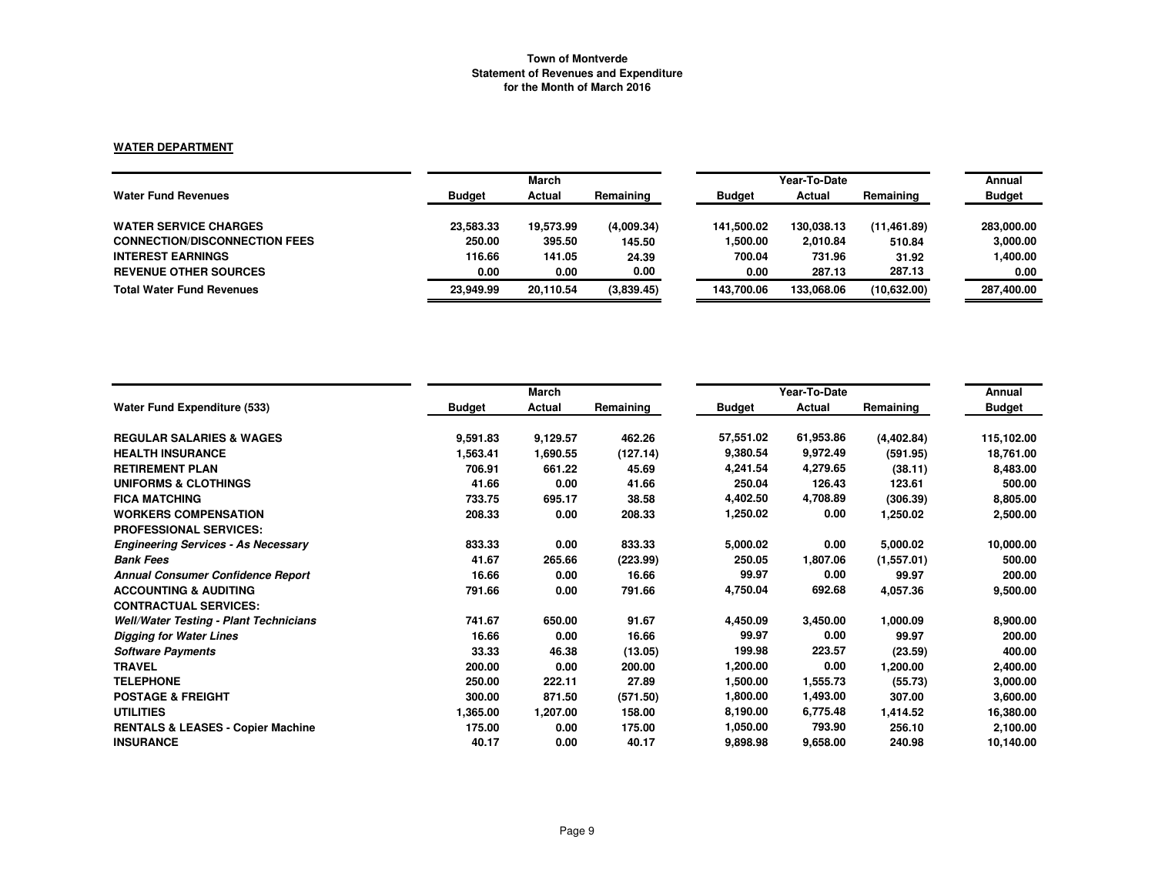### **WATER DEPARTMENT**

|                                      | March         |           |            |               | Annual     |              |               |
|--------------------------------------|---------------|-----------|------------|---------------|------------|--------------|---------------|
| <b>Water Fund Revenues</b>           | <b>Budget</b> | Actual    | Remaining  | <b>Budget</b> | Actual     | Remaining    | <b>Budget</b> |
| <b>WATER SERVICE CHARGES</b>         | 23,583.33     | 19,573.99 | (4,009.34) | 141.500.02    | 130.038.13 | (11, 461.89) | 283,000.00    |
| <b>CONNECTION/DISCONNECTION FEES</b> | 250.00        | 395.50    | 145.50     | 1,500.00      | 2,010.84   | 510.84       | 3,000.00      |
| <b>INTEREST EARNINGS</b>             | 116.66        | 141.05    | 24.39      | 700.04        | 731.96     | 31.92        | 1,400.00      |
| <b>REVENUE OTHER SOURCES</b>         | 0.00          | 0.00      | 0.00       | 0.00          | 287.13     | 287.13       | 0.00          |
| <b>Total Water Fund Revenues</b>     | 23.949.99     | 20.110.54 | (3,839.45) | 143.700.06    | 133.068.06 | (10.632.00)  | 287,400.00    |

|                                               |               | March    |           |               | Year-To-Date |            |                         |  |
|-----------------------------------------------|---------------|----------|-----------|---------------|--------------|------------|-------------------------|--|
| <b>Water Fund Expenditure (533)</b>           | <b>Budget</b> | Actual   | Remaining | <b>Budget</b> | Actual       | Remaining  | Annual<br><b>Budget</b> |  |
| <b>REGULAR SALARIES &amp; WAGES</b>           | 9,591.83      | 9,129.57 | 462.26    | 57,551.02     | 61,953.86    | (4,402.84) | 115,102.00              |  |
| <b>HEALTH INSURANCE</b>                       | 1,563.41      | 1,690.55 | (127.14)  | 9.380.54      | 9,972.49     | (591.95)   | 18,761.00               |  |
| <b>RETIREMENT PLAN</b>                        | 706.91        | 661.22   | 45.69     | 4,241.54      | 4,279.65     | (38.11)    | 8,483.00                |  |
| <b>UNIFORMS &amp; CLOTHINGS</b>               | 41.66         | 0.00     | 41.66     | 250.04        | 126.43       | 123.61     | 500.00                  |  |
| <b>FICA MATCHING</b>                          | 733.75        | 695.17   | 38.58     | 4,402.50      | 4,708.89     | (306.39)   | 8,805.00                |  |
| <b>WORKERS COMPENSATION</b>                   | 208.33        | 0.00     | 208.33    | 1,250.02      | 0.00         | 1,250.02   | 2,500.00                |  |
| <b>PROFESSIONAL SERVICES:</b>                 |               |          |           |               |              |            |                         |  |
| <b>Engineering Services - As Necessary</b>    | 833.33        | 0.00     | 833.33    | 5,000.02      | 0.00         | 5,000.02   | 10,000.00               |  |
| <b>Bank Fees</b>                              | 41.67         | 265.66   | (223.99)  | 250.05        | 1,807.06     | (1,557.01) | 500.00                  |  |
| <b>Annual Consumer Confidence Report</b>      | 16.66         | 0.00     | 16.66     | 99.97         | 0.00         | 99.97      | 200.00                  |  |
| <b>ACCOUNTING &amp; AUDITING</b>              | 791.66        | 0.00     | 791.66    | 4,750.04      | 692.68       | 4,057.36   | 9,500.00                |  |
| <b>CONTRACTUAL SERVICES:</b>                  |               |          |           |               |              |            |                         |  |
| <b>Well/Water Testing - Plant Technicians</b> | 741.67        | 650.00   | 91.67     | 4,450.09      | 3,450.00     | 1,000.09   | 8,900.00                |  |
| <b>Digging for Water Lines</b>                | 16.66         | 0.00     | 16.66     | 99.97         | 0.00         | 99.97      | 200.00                  |  |
| <b>Software Payments</b>                      | 33.33         | 46.38    | (13.05)   | 199.98        | 223.57       | (23.59)    | 400.00                  |  |
| <b>TRAVEL</b>                                 | 200.00        | 0.00     | 200.00    | 1,200.00      | 0.00         | 1,200.00   | 2,400.00                |  |
| <b>TELEPHONE</b>                              | 250.00        | 222.11   | 27.89     | 1,500.00      | 1,555.73     | (55.73)    | 3,000.00                |  |
| <b>POSTAGE &amp; FREIGHT</b>                  | 300.00        | 871.50   | (571.50)  | 1,800.00      | 1,493.00     | 307.00     | 3,600.00                |  |
| <b>UTILITIES</b>                              | 1,365.00      | 1,207.00 | 158.00    | 8,190.00      | 6,775.48     | 1,414.52   | 16,380.00               |  |
| <b>RENTALS &amp; LEASES - Copier Machine</b>  | 175.00        | 0.00     | 175.00    | 1,050.00      | 793.90       | 256.10     | 2,100.00                |  |
| <b>INSURANCE</b>                              | 40.17         | 0.00     | 40.17     | 9,898.98      | 9,658.00     | 240.98     | 10,140.00               |  |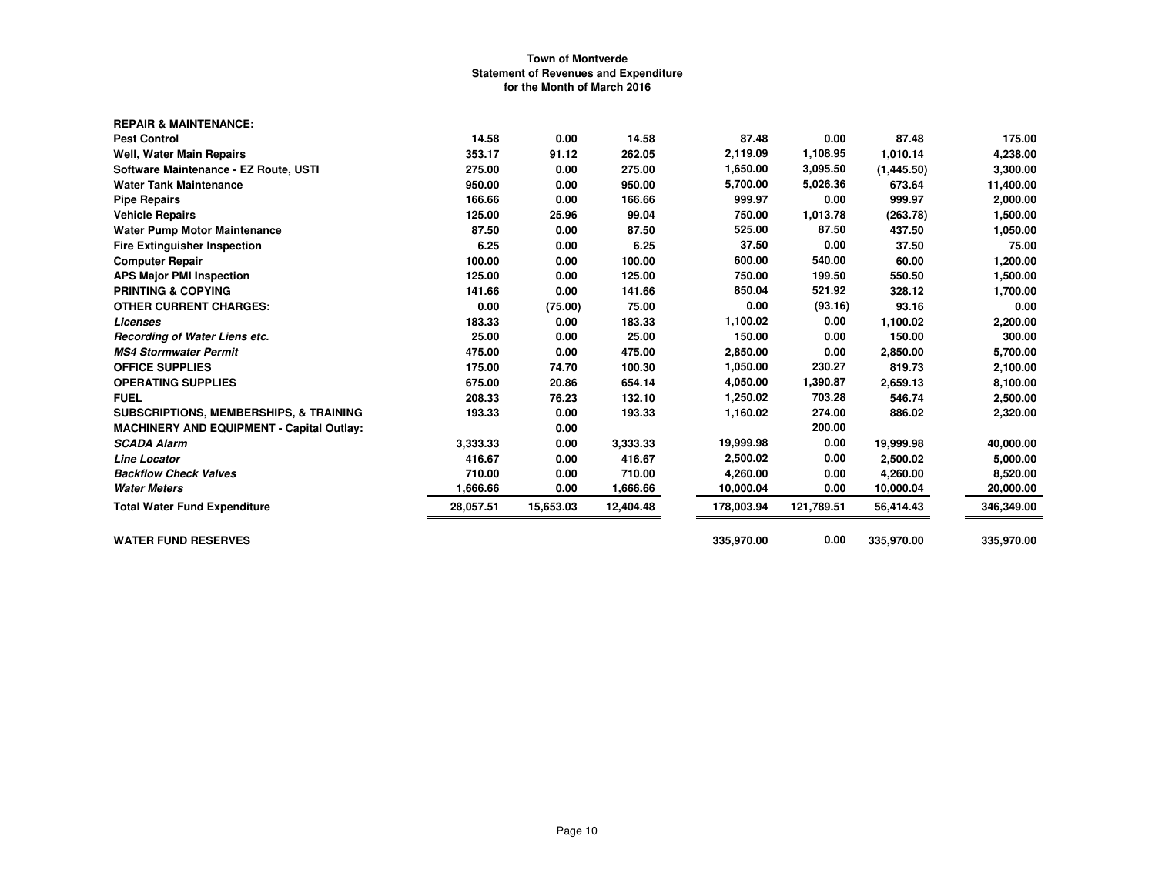| <b>REPAIR &amp; MAINTENANCE:</b>                  |           |           |           |            |            |            |            |
|---------------------------------------------------|-----------|-----------|-----------|------------|------------|------------|------------|
| <b>Pest Control</b>                               | 14.58     | 0.00      | 14.58     | 87.48      | 0.00       | 87.48      | 175.00     |
| Well, Water Main Repairs                          | 353.17    | 91.12     | 262.05    | 2,119.09   | 1,108.95   | 1,010.14   | 4,238.00   |
| Software Maintenance - EZ Route, USTI             | 275.00    | 0.00      | 275.00    | 1,650.00   | 3,095.50   | (1,445.50) | 3,300.00   |
| <b>Water Tank Maintenance</b>                     | 950.00    | 0.00      | 950.00    | 5,700.00   | 5,026.36   | 673.64     | 11,400.00  |
| <b>Pipe Repairs</b>                               | 166.66    | 0.00      | 166.66    | 999.97     | 0.00       | 999.97     | 2,000.00   |
| <b>Vehicle Repairs</b>                            | 125.00    | 25.96     | 99.04     | 750.00     | 1,013.78   | (263.78)   | 1,500.00   |
| <b>Water Pump Motor Maintenance</b>               | 87.50     | 0.00      | 87.50     | 525.00     | 87.50      | 437.50     | 1,050.00   |
| <b>Fire Extinguisher Inspection</b>               | 6.25      | 0.00      | 6.25      | 37.50      | 0.00       | 37.50      | 75.00      |
| <b>Computer Repair</b>                            | 100.00    | 0.00      | 100.00    | 600.00     | 540.00     | 60.00      | 1,200.00   |
| <b>APS Major PMI Inspection</b>                   | 125.00    | 0.00      | 125.00    | 750.00     | 199.50     | 550.50     | 1,500.00   |
| <b>PRINTING &amp; COPYING</b>                     | 141.66    | 0.00      | 141.66    | 850.04     | 521.92     | 328.12     | 1,700.00   |
| <b>OTHER CURRENT CHARGES:</b>                     | 0.00      | (75.00)   | 75.00     | 0.00       | (93.16)    | 93.16      | 0.00       |
| <b>Licenses</b>                                   | 183.33    | 0.00      | 183.33    | 1,100.02   | 0.00       | 1,100.02   | 2,200.00   |
| Recording of Water Liens etc.                     | 25.00     | 0.00      | 25.00     | 150.00     | 0.00       | 150.00     | 300.00     |
| <b>MS4 Stormwater Permit</b>                      | 475.00    | 0.00      | 475.00    | 2,850.00   | 0.00       | 2,850.00   | 5,700.00   |
| <b>OFFICE SUPPLIES</b>                            | 175.00    | 74.70     | 100.30    | 1,050.00   | 230.27     | 819.73     | 2,100.00   |
| <b>OPERATING SUPPLIES</b>                         | 675.00    | 20.86     | 654.14    | 4,050.00   | 1,390.87   | 2,659.13   | 8,100.00   |
| <b>FUEL</b>                                       | 208.33    | 76.23     | 132.10    | 1,250.02   | 703.28     | 546.74     | 2,500.00   |
| <b>SUBSCRIPTIONS, MEMBERSHIPS, &amp; TRAINING</b> | 193.33    | 0.00      | 193.33    | 1,160.02   | 274.00     | 886.02     | 2,320.00   |
| <b>MACHINERY AND EQUIPMENT - Capital Outlay:</b>  |           | 0.00      |           |            | 200.00     |            |            |
| <b>SCADA Alarm</b>                                | 3.333.33  | 0.00      | 3,333.33  | 19,999.98  | 0.00       | 19,999.98  | 40,000.00  |
| <b>Line Locator</b>                               | 416.67    | 0.00      | 416.67    | 2,500.02   | 0.00       | 2,500.02   | 5,000.00   |
| <b>Backflow Check Valves</b>                      | 710.00    | 0.00      | 710.00    | 4,260.00   | 0.00       | 4,260.00   | 8,520.00   |
| <b>Water Meters</b>                               | 1,666.66  | 0.00      | 1,666.66  | 10,000.04  | 0.00       | 10,000.04  | 20,000.00  |
| <b>Total Water Fund Expenditure</b>               | 28,057.51 | 15,653.03 | 12,404.48 | 178,003.94 | 121,789.51 | 56,414.43  | 346,349.00 |
| <b>WATER FUND RESERVES</b>                        |           |           |           | 335,970.00 | 0.00       | 335,970.00 | 335.970.00 |
|                                                   |           |           |           |            |            |            |            |